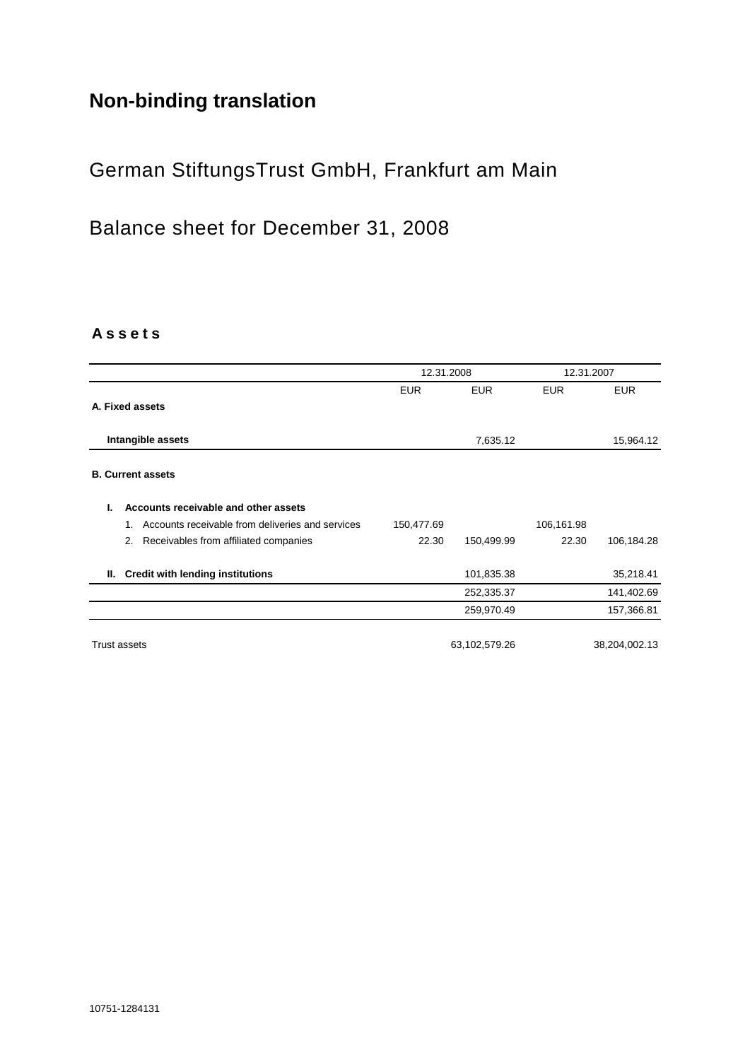# **Non-binding translation**

# German StiftungsTrust GmbH, Frankfurt am Main

Balance sheet for December 31, 2008

### **A s s e t s**

|                                                        |            | 12.31.2008    |            | 12.31.2007    |  |
|--------------------------------------------------------|------------|---------------|------------|---------------|--|
|                                                        | <b>EUR</b> | <b>EUR</b>    | <b>EUR</b> | <b>EUR</b>    |  |
| A. Fixed assets                                        |            |               |            |               |  |
| Intangible assets                                      |            | 7,635.12      |            | 15,964.12     |  |
| <b>B. Current assets</b>                               |            |               |            |               |  |
| Accounts receivable and other assets<br>L.             |            |               |            |               |  |
| Accounts receivable from deliveries and services<br>1. | 150,477.69 |               | 106,161.98 |               |  |
| Receivables from affiliated companies<br>2.            | 22.30      | 150,499.99    | 22.30      | 106,184.28    |  |
| <b>Credit with lending institutions</b><br>II. .       |            | 101,835.38    |            | 35,218.41     |  |
|                                                        |            | 252,335.37    |            | 141,402.69    |  |
|                                                        |            | 259,970.49    |            | 157,366.81    |  |
| <b>Trust assets</b>                                    |            | 63,102,579.26 |            | 38,204,002.13 |  |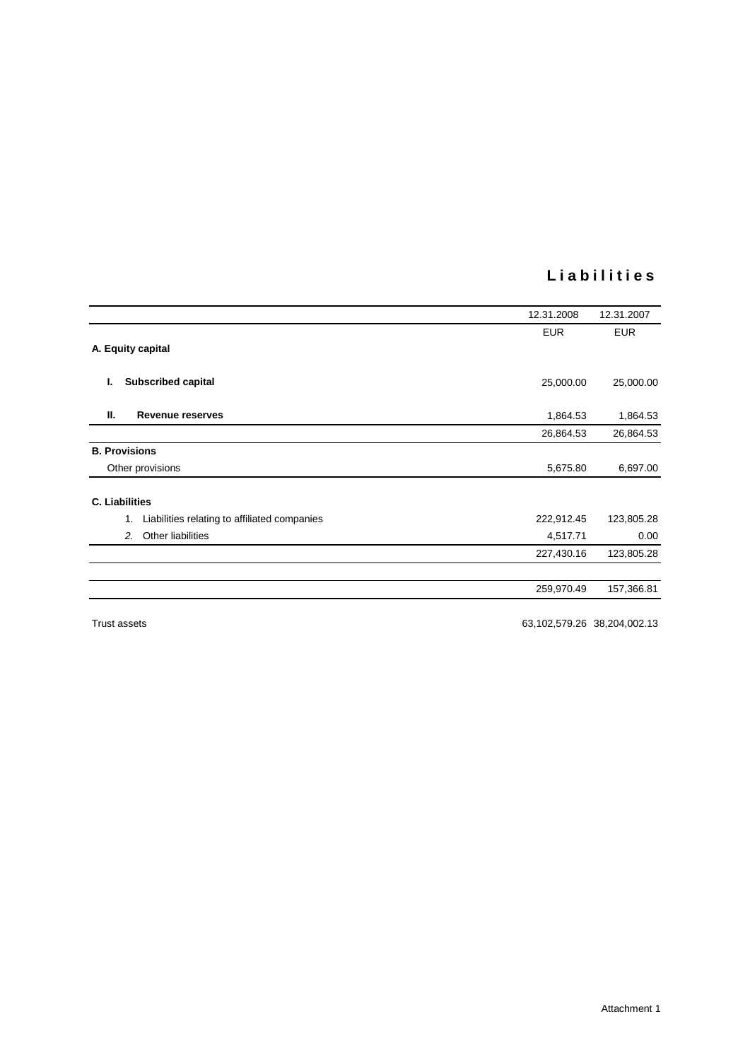### **L i a b i l i t i e s**

|                                                    | 12.31.2008 | 12.31.2007 |
|----------------------------------------------------|------------|------------|
|                                                    | <b>EUR</b> | <b>EUR</b> |
| A. Equity capital                                  |            |            |
| <b>Subscribed capital</b><br>ı.                    | 25,000.00  | 25,000.00  |
| Ш.<br><b>Revenue reserves</b>                      | 1,864.53   | 1,864.53   |
|                                                    | 26,864.53  | 26,864.53  |
| <b>B. Provisions</b>                               |            |            |
| Other provisions                                   | 5,675.80   | 6,697.00   |
| <b>C. Liabilities</b>                              |            |            |
| Liabilities relating to affiliated companies<br>1. | 222,912.45 | 123,805.28 |
| Other liabilities<br>2.                            | 4,517.71   | 0.00       |
|                                                    | 227,430.16 | 123,805.28 |
|                                                    | 259,970.49 | 157,366.81 |
|                                                    |            |            |

Trust assets 63,102,579.26 38,204,002.13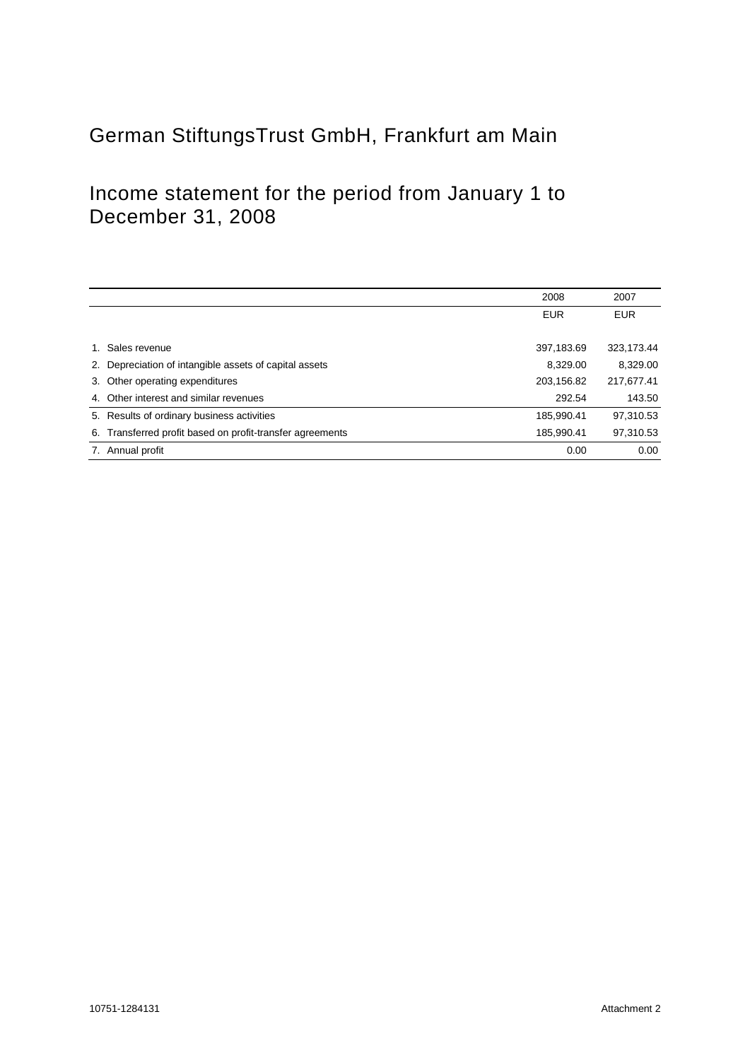# German StiftungsTrust GmbH, Frankfurt am Main

## Income statement for the period from January 1 to December 31, 2008

|    |                                                        | 2008       | 2007       |
|----|--------------------------------------------------------|------------|------------|
|    |                                                        | <b>EUR</b> | <b>EUR</b> |
|    |                                                        |            |            |
|    | Sales revenue                                          | 397,183.69 | 323,173.44 |
| 2. | Depreciation of intangible assets of capital assets    | 8,329.00   | 8,329.00   |
| 3. | Other operating expenditures                           | 203,156.82 | 217,677.41 |
|    | 4. Other interest and similar revenues                 | 292.54     | 143.50     |
|    | 5. Results of ordinary business activities             | 185,990.41 | 97,310.53  |
| 6. | Transferred profit based on profit-transfer agreements | 185.990.41 | 97,310.53  |
| 7. | Annual profit                                          | 0.00       | 0.00       |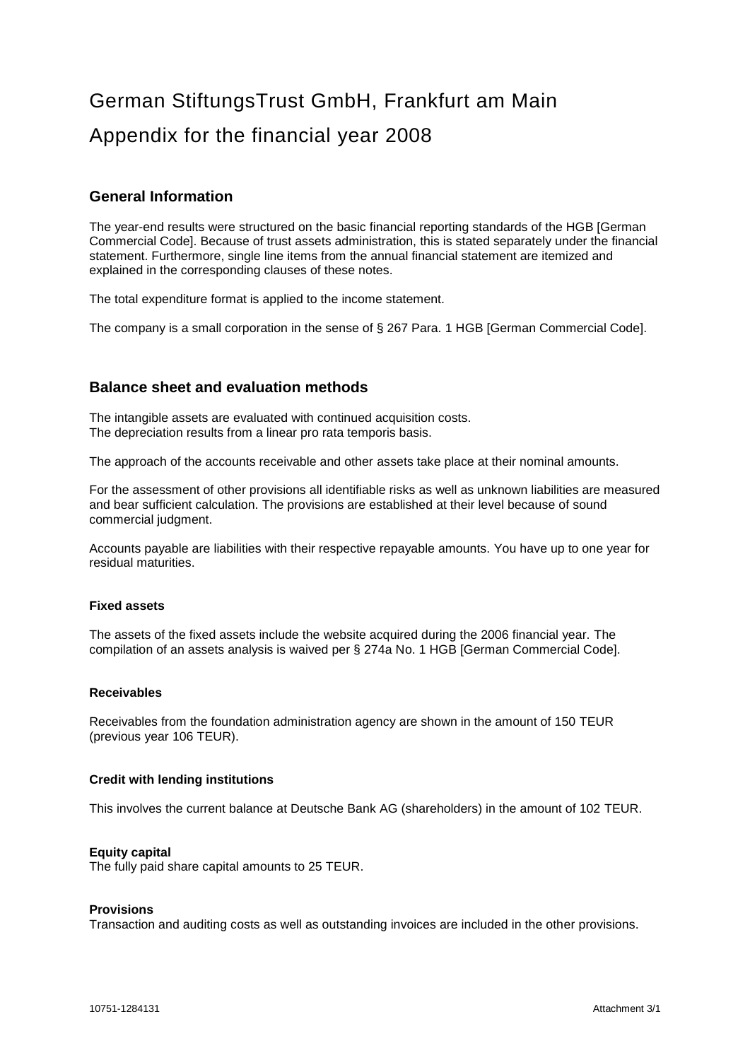# German StiftungsTrust GmbH, Frankfurt am Main Appendix for the financial year 2008

### **General Information**

The year-end results were structured on the basic financial reporting standards of the HGB [German Commercial Code]. Because of trust assets administration, this is stated separately under the financial statement. Furthermore, single line items from the annual financial statement are itemized and explained in the corresponding clauses of these notes.

The total expenditure format is applied to the income statement.

The company is a small corporation in the sense of § 267 Para. 1 HGB [German Commercial Code].

### **Balance sheet and evaluation methods**

The intangible assets are evaluated with continued acquisition costs. The depreciation results from a linear pro rata temporis basis.

The approach of the accounts receivable and other assets take place at their nominal amounts.

For the assessment of other provisions all identifiable risks as well as unknown liabilities are measured and bear sufficient calculation. The provisions are established at their level because of sound commercial judgment.

Accounts payable are liabilities with their respective repayable amounts. You have up to one year for residual maturities.

#### **Fixed assets**

The assets of the fixed assets include the website acquired during the 2006 financial year. The compilation of an assets analysis is waived per § 274a No. 1 HGB [German Commercial Code].

#### **Receivables**

Receivables from the foundation administration agency are shown in the amount of 150 TEUR (previous year 106 TEUR).

#### **Credit with lending institutions**

This involves the current balance at Deutsche Bank AG (shareholders) in the amount of 102 TEUR.

#### **Equity capital**

The fully paid share capital amounts to 25 TEUR.

#### **Provisions**

Transaction and auditing costs as well as outstanding invoices are included in the other provisions.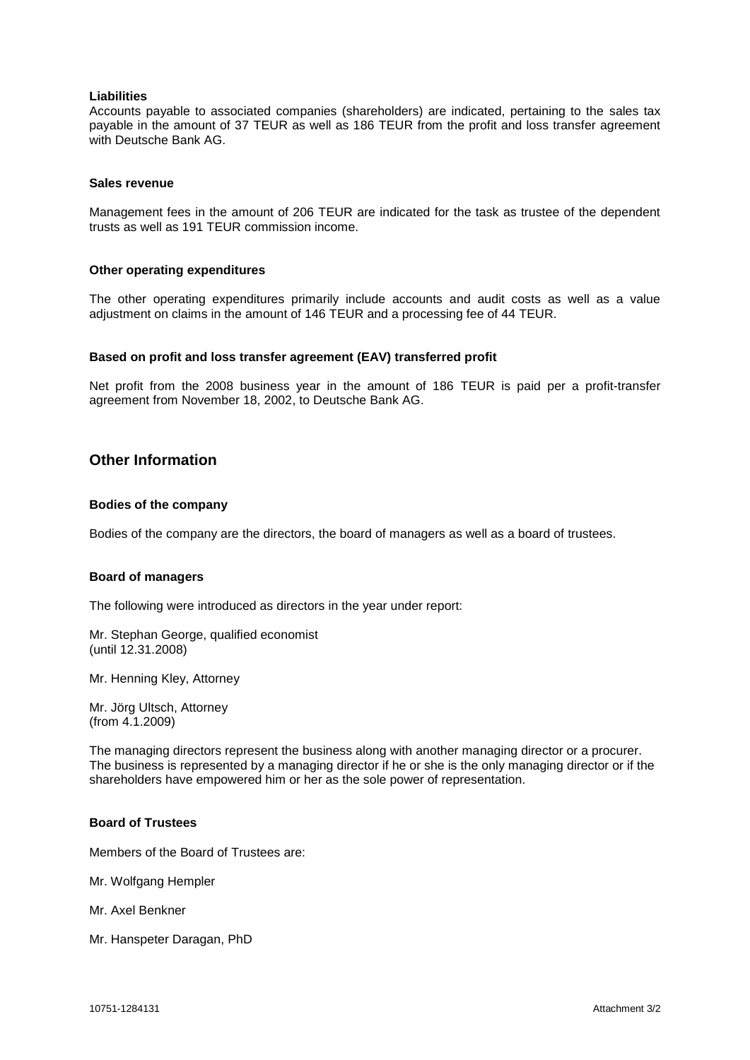#### **Liabilities**

Accounts payable to associated companies (shareholders) are indicated, pertaining to the sales tax payable in the amount of 37 TEUR as well as 186 TEUR from the profit and loss transfer agreement with Deutsche Bank AG.

#### **Sales revenue**

Management fees in the amount of 206 TEUR are indicated for the task as trustee of the dependent trusts as well as 191 TEUR commission income.

#### **Other operating expenditures**

The other operating expenditures primarily include accounts and audit costs as well as a value adjustment on claims in the amount of 146 TEUR and a processing fee of 44 TEUR.

#### **Based on profit and loss transfer agreement (EAV) transferred profit**

Net profit from the 2008 business year in the amount of 186 TEUR is paid per a profit-transfer agreement from November 18, 2002, to Deutsche Bank AG.

#### **Other Information**

#### **Bodies of the company**

Bodies of the company are the directors, the board of managers as well as a board of trustees.

#### **Board of managers**

The following were introduced as directors in the year under report:

Mr. Stephan George, qualified economist (until 12.31.2008)

Mr. Henning Kley, Attorney

Mr. Jörg Ultsch, Attorney (from 4.1.2009)

The managing directors represent the business along with another managing director or a procurer. The business is represented by a managing director if he or she is the only managing director or if the shareholders have empowered him or her as the sole power of representation.

#### **Board of Trustees**

Members of the Board of Trustees are:

Mr. Wolfgang Hempler

Mr. Axel Benkner

Mr. Hanspeter Daragan, PhD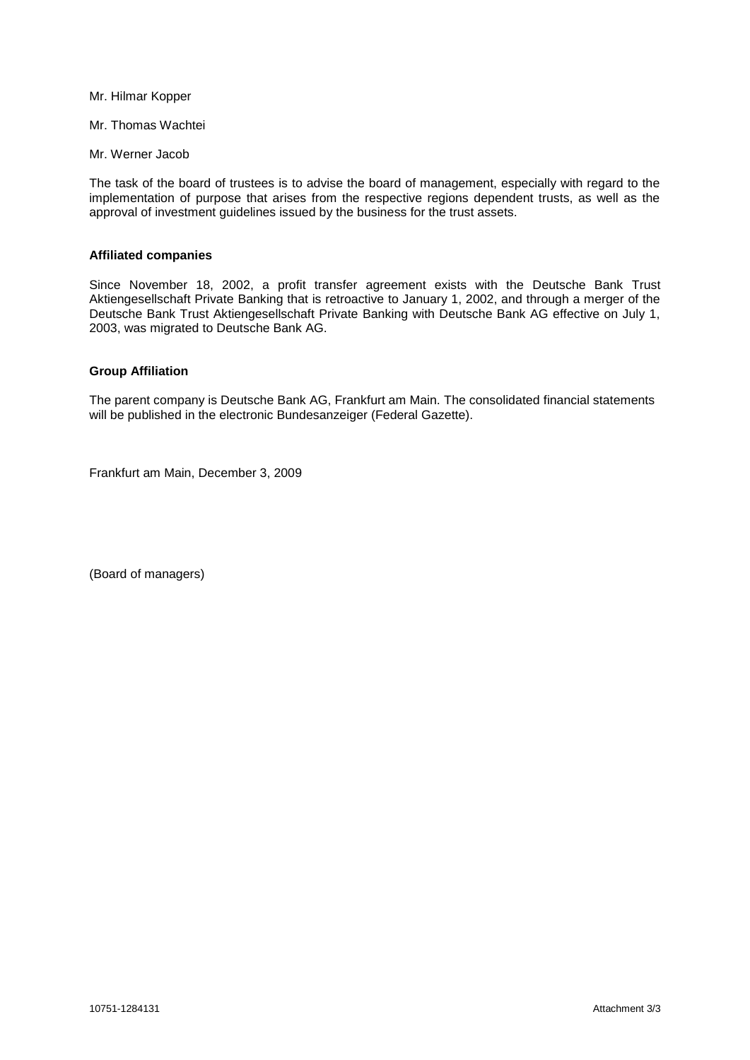Mr. Hilmar Kopper

Mr. Thomas Wachtei

Mr. Werner Jacob

The task of the board of trustees is to advise the board of management, especially with regard to the implementation of purpose that arises from the respective regions dependent trusts, as well as the approval of investment guidelines issued by the business for the trust assets.

#### **Affiliated companies**

Since November 18, 2002, a profit transfer agreement exists with the Deutsche Bank Trust Aktiengesellschaft Private Banking that is retroactive to January 1, 2002, and through a merger of the Deutsche Bank Trust Aktiengesellschaft Private Banking with Deutsche Bank AG effective on July 1, 2003, was migrated to Deutsche Bank AG.

#### **Group Affiliation**

The parent company is Deutsche Bank AG, Frankfurt am Main. The consolidated financial statements will be published in the electronic Bundesanzeiger (Federal Gazette).

Frankfurt am Main, December 3, 2009

(Board of managers)